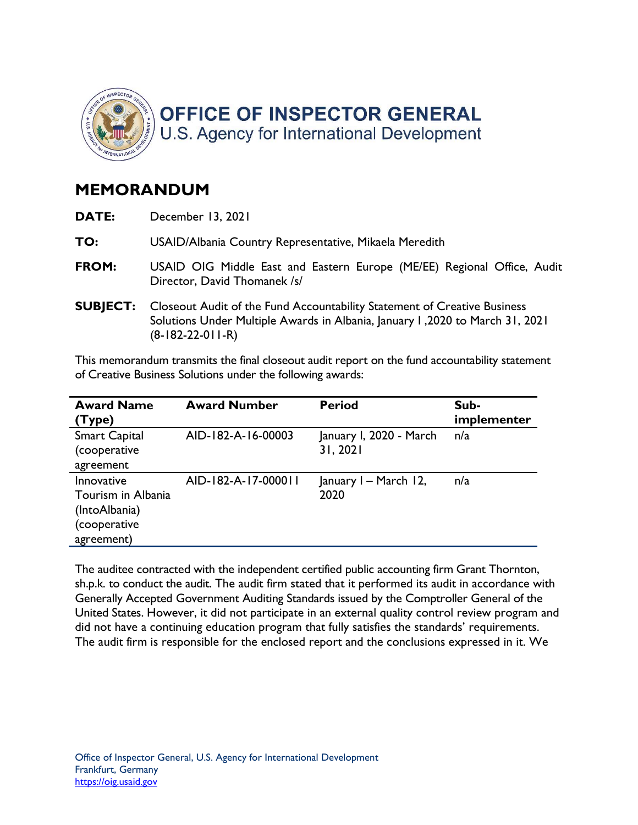

## MEMORANDUM

| DATE:           | December 13, 2021                                                                                                                                                               |  |
|-----------------|---------------------------------------------------------------------------------------------------------------------------------------------------------------------------------|--|
| TO:             | USAID/Albania Country Representative, Mikaela Meredith                                                                                                                          |  |
| FROM:           | USAID OIG Middle East and Eastern Europe (ME/EE) Regional Office, Audit<br>Director, David Thomanek /s/                                                                         |  |
| <b>SUBJECT:</b> | Closeout Audit of the Fund Accountability Statement of Creative Business<br>Solutions Under Multiple Awards in Albania, January 1, 2020 to March 31, 2021<br>$(8-182-22-011-R)$ |  |

 This memorandum transmits the final closeout audit report on the fund accountability statement of Creative Business Solutions under the following awards:

| <b>Award Name</b><br>(Type)                                                     | <b>Award Number</b> | <b>Period</b>                       | Sub-<br>implementer |
|---------------------------------------------------------------------------------|---------------------|-------------------------------------|---------------------|
| <b>Smart Capital</b><br>(cooperative<br>agreement                               | AID-182-A-16-00003  | January I, 2020 - March<br>31, 2021 | n/a                 |
| Innovative<br>Tourism in Albania<br>(IntoAlbania)<br>(cooperative<br>agreement) | AID-182-A-17-000011 | January I - March 12,<br>2020       | n/a                 |

 The auditee contracted with the independent certified public accounting firm Grant Thornton, sh.p.k. to conduct the audit. The audit firm stated that it performed its audit in accordance with Generally Accepted Government Auditing Standards issued by the Comptroller General of the United States. However, it did not participate in an external quality control review program and did not have a continuing education program that fully satisfies the standards' requirements. The audit firm is responsible for the enclosed report and the conclusions expressed in it. We